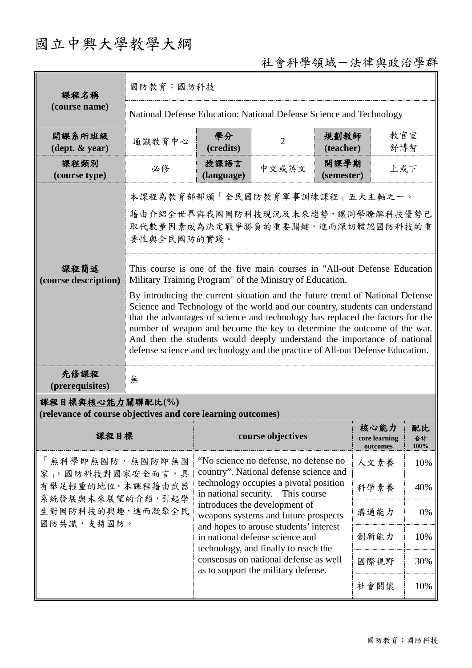# 國立中興大學教學大綱

## 社會科學領域-法律與政治學群

| 課程名稱                                                                            | 國防教育:國防科技                                                                                                                                                                                                                                                                                                                                                                                                                                                                                                                                                                                                                                                                                                                                                   |                                                                                                                                                                                              |                   |                    |                                   |                  |                                |
|---------------------------------------------------------------------------------|-------------------------------------------------------------------------------------------------------------------------------------------------------------------------------------------------------------------------------------------------------------------------------------------------------------------------------------------------------------------------------------------------------------------------------------------------------------------------------------------------------------------------------------------------------------------------------------------------------------------------------------------------------------------------------------------------------------------------------------------------------------|----------------------------------------------------------------------------------------------------------------------------------------------------------------------------------------------|-------------------|--------------------|-----------------------------------|------------------|--------------------------------|
| (course name)                                                                   | National Defense Education: National Defense Science and Technology                                                                                                                                                                                                                                                                                                                                                                                                                                                                                                                                                                                                                                                                                         |                                                                                                                                                                                              |                   |                    |                                   |                  |                                |
| 開課系所班級<br>$(\text{dept.} \& \text{ year})$                                      | 通識教育中心                                                                                                                                                                                                                                                                                                                                                                                                                                                                                                                                                                                                                                                                                                                                                      | 學分<br>(credits)                                                                                                                                                                              | $\overline{2}$    | 規劃教師<br>(teacher)  | 教官室<br>舒博智                        |                  |                                |
| 課程類別<br>(course type)                                                           | 必修                                                                                                                                                                                                                                                                                                                                                                                                                                                                                                                                                                                                                                                                                                                                                          | 授課語言<br>(language)                                                                                                                                                                           | 中文或英文             | 開課學期<br>(semester) | 上或下                               |                  |                                |
| 課程簡述<br>(course description)                                                    | 本課程為教育部部頒「全民國防教育軍事訓練課程」五大主軸之一。<br>藉由介紹全世界與我國國防科技現況及未來趨勢,讓同學瞭解科技優勢已<br>取代數量因素成為決定戰爭勝負的重要關鍵,進而深切體認國防科技的重<br>要性與全民國防的實踐。<br>This course is one of the five main courses in "All-out Defense Education"<br>Military Training Program" of the Ministry of Education.<br>By introducing the current situation and the future trend of National Defense<br>Science and Technology of the world and our country, students can understand<br>that the advantages of science and technology has replaced the factors for the<br>number of weapon and become the key to determine the outcome of the war.<br>And then the students would deeply understand the importance of national<br>defense science and technology and the practice of All-out Defense Education. |                                                                                                                                                                                              |                   |                    |                                   |                  |                                |
| 先修課程<br>(prerequisites)                                                         | 無                                                                                                                                                                                                                                                                                                                                                                                                                                                                                                                                                                                                                                                                                                                                                           |                                                                                                                                                                                              |                   |                    |                                   |                  |                                |
| 課程目標與核心能力關聯配比(%)<br>(relevance of course objectives and core learning outcomes) |                                                                                                                                                                                                                                                                                                                                                                                                                                                                                                                                                                                                                                                                                                                                                             |                                                                                                                                                                                              |                   |                    |                                   |                  |                                |
| 課程目標                                                                            |                                                                                                                                                                                                                                                                                                                                                                                                                                                                                                                                                                                                                                                                                                                                                             |                                                                                                                                                                                              | course objectives |                    | 核心能力<br>core learning<br>outcomes | 配比<br>合計<br>100% |                                |
| 「無科學即無國防,無國防即無國<br>家」,國防科技對國家安全而言,具<br>有舉足輕重的地位。本課程藉由武器<br>系統發展與未來展望的介紹,引起學     |                                                                                                                                                                                                                                                                                                                                                                                                                                                                                                                                                                                                                                                                                                                                                             | "No science no defense, no defense no<br>人文素養<br>10%<br>country". National defense science and<br>technology occupies a pivotal position<br>科學素養<br>40%<br>in national security. This course |                   |                    |                                   |                  |                                |
|                                                                                 |                                                                                                                                                                                                                                                                                                                                                                                                                                                                                                                                                                                                                                                                                                                                                             |                                                                                                                                                                                              |                   |                    |                                   |                  | 生對國防科技的興趣,進而凝聚全民<br>國防共識,支持國防。 |
|                                                                                 |                                                                                                                                                                                                                                                                                                                                                                                                                                                                                                                                                                                                                                                                                                                                                             | 創新能力                                                                                                                                                                                         | 10%               |                    |                                   |                  |                                |
|                                                                                 |                                                                                                                                                                                                                                                                                                                                                                                                                                                                                                                                                                                                                                                                                                                                                             | consensus on national defense as well<br>as to support the military defense.                                                                                                                 |                   | 國際視野               | 30%                               |                  |                                |
|                                                                                 |                                                                                                                                                                                                                                                                                                                                                                                                                                                                                                                                                                                                                                                                                                                                                             |                                                                                                                                                                                              |                   | 社會關懷               | 10%                               |                  |                                |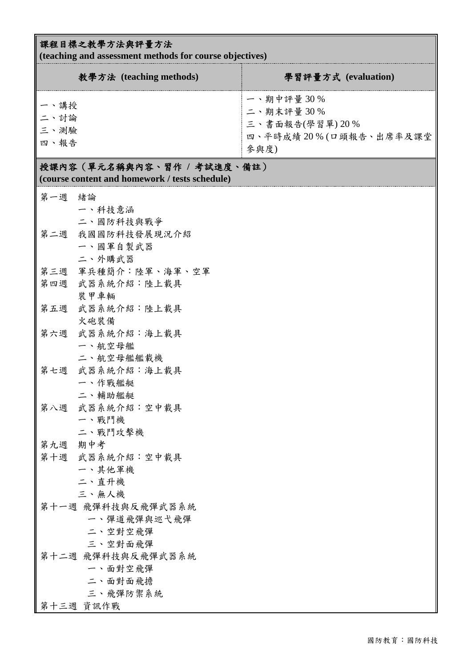### 課程目標之教學方法與評量方法

**(teaching and assessment methods for course objectives)**

| $($ reaching and assessment includes for course objectives)                   |                         |                                                                            |  |  |  |  |
|-------------------------------------------------------------------------------|-------------------------|----------------------------------------------------------------------------|--|--|--|--|
|                                                                               | 教學方法 (teaching methods) | 學習評量方式 (evaluation)                                                        |  |  |  |  |
| 一、講授<br>二、討論<br>三、測驗<br>四、報告                                                  |                         | 一、期中評量30%<br>二、期末評量30%<br>三、書面報告(學習單) 20%<br>四、平時成績20%(口頭報告、出席率及課堂<br>參與度) |  |  |  |  |
| 授課內容 (單元名稱與內容、習作 / 考試進度、備註)<br>(course content and homework / tests schedule) |                         |                                                                            |  |  |  |  |
| 第一週                                                                           | 緒論                      |                                                                            |  |  |  |  |
|                                                                               | 一、科技意涵                  |                                                                            |  |  |  |  |
|                                                                               | 二、國防科技與戰爭               |                                                                            |  |  |  |  |
| 第二週                                                                           | 我國國防科技發展現況介紹            |                                                                            |  |  |  |  |
|                                                                               | 一、國軍自製武器                |                                                                            |  |  |  |  |
|                                                                               | 二、外購武器                  |                                                                            |  |  |  |  |
|                                                                               | 第三週 軍兵種簡介:陸軍、海軍、空軍      |                                                                            |  |  |  |  |
|                                                                               | 第四週 武器系統介紹:陸上載具         |                                                                            |  |  |  |  |
|                                                                               | 裝甲車輛                    |                                                                            |  |  |  |  |
| 第五週                                                                           | 武器系統介紹:陸上載具             |                                                                            |  |  |  |  |
|                                                                               | 火砲裝備                    |                                                                            |  |  |  |  |
| 第六週                                                                           | 武器系統介紹:海上載具             |                                                                            |  |  |  |  |
|                                                                               | 一、航空母艦                  |                                                                            |  |  |  |  |
|                                                                               | 二、航空母艦艦載機               |                                                                            |  |  |  |  |
|                                                                               | 第七週 武器系統介紹:海上載具         |                                                                            |  |  |  |  |
|                                                                               | 一、作戰艦艇<br>二、輔助艦艇        |                                                                            |  |  |  |  |
| 第八週                                                                           | 武器系統介紹:空中載具             |                                                                            |  |  |  |  |
|                                                                               | 一、戰鬥機                   |                                                                            |  |  |  |  |
|                                                                               | 二、戰鬥攻擊機                 |                                                                            |  |  |  |  |
| 第九週                                                                           | 期中考                     |                                                                            |  |  |  |  |
| 第十週                                                                           | 武器系統介紹:空中載具             |                                                                            |  |  |  |  |
|                                                                               | 一、其他軍機                  |                                                                            |  |  |  |  |
|                                                                               | 二、直升機                   |                                                                            |  |  |  |  |
|                                                                               | 三、無人機                   |                                                                            |  |  |  |  |
| 第十一週 飛彈科技與反飛彈武器系統                                                             |                         |                                                                            |  |  |  |  |
|                                                                               | 一、彈道飛彈與巡弋飛彈             |                                                                            |  |  |  |  |
| 二、空對空飛彈                                                                       |                         |                                                                            |  |  |  |  |
| 三、空對面飛彈                                                                       |                         |                                                                            |  |  |  |  |
| 第十二週 飛彈科技與反飛彈武器系統                                                             |                         |                                                                            |  |  |  |  |
| 一、面對空飛彈                                                                       |                         |                                                                            |  |  |  |  |
| 二、面對面飛擔                                                                       |                         |                                                                            |  |  |  |  |
|                                                                               | 三、飛彈防禦系統                |                                                                            |  |  |  |  |
|                                                                               | 第十三週 資訊作戰               |                                                                            |  |  |  |  |